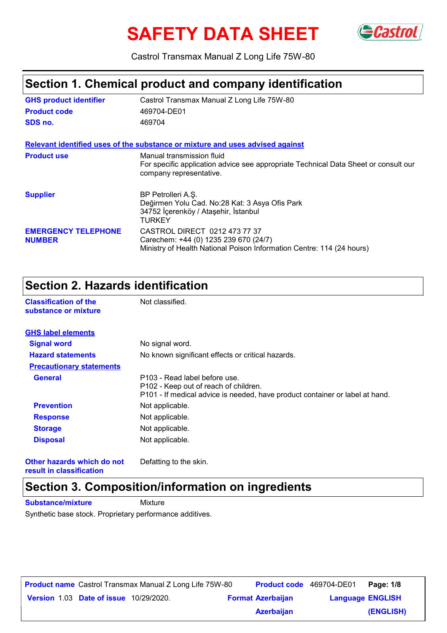# SAFETY DATA SHEET GCastrol



Castrol Transmax Manual Z Long Life 75W-80

# **Section 1. Chemical product and company identification**

| <b>GHS product identifier</b>               | Castrol Transmax Manual Z Long Life 75W-80                                                                                                      |  |  |  |
|---------------------------------------------|-------------------------------------------------------------------------------------------------------------------------------------------------|--|--|--|
| <b>Product code</b>                         | 469704-DE01                                                                                                                                     |  |  |  |
| SDS no.                                     | 469704                                                                                                                                          |  |  |  |
|                                             | Relevant identified uses of the substance or mixture and uses advised against                                                                   |  |  |  |
| <b>Product use</b>                          | Manual transmission fluid<br>For specific application advice see appropriate Technical Data Sheet or consult our<br>company representative.     |  |  |  |
| <b>Supplier</b>                             | BP Petrolleri A.Ş.<br>Değirmen Yolu Cad. No:28 Kat: 3 Asya Ofis Park<br>34752 İçerenköy / Ataşehir, İstanbul<br>TURKEY                          |  |  |  |
| <b>EMERGENCY TELEPHONE</b><br><b>NUMBER</b> | CASTROL DIRECT 0212 473 77 37<br>Carechem: +44 (0) 1235 239 670 (24/7)<br>Ministry of Health National Poison Information Centre: 114 (24 hours) |  |  |  |

### **Section 2. Hazards identification**

**Classification of the Mot classified.** 

| substance or mixture            |                                                                                                                                                        |
|---------------------------------|--------------------------------------------------------------------------------------------------------------------------------------------------------|
| <b>GHS label elements</b>       |                                                                                                                                                        |
| <b>Signal word</b>              | No signal word.                                                                                                                                        |
| <b>Hazard statements</b>        | No known significant effects or critical hazards.                                                                                                      |
| <b>Precautionary statements</b> |                                                                                                                                                        |
| <b>General</b>                  | P103 - Read label before use.<br>P102 - Keep out of reach of children.<br>P101 - If medical advice is needed, have product container or label at hand. |
| <b>Prevention</b>               | Not applicable.                                                                                                                                        |
| <b>Response</b>                 | Not applicable.                                                                                                                                        |
| <b>Storage</b>                  | Not applicable.                                                                                                                                        |
| <b>Disposal</b>                 | Not applicable.                                                                                                                                        |
|                                 |                                                                                                                                                        |

**Other hazards which do not result in classification**

Defatting to the skin.

# **Section 3. Composition/information on ingredients**

**Substance/mixture Mixture** 

Synthetic base stock. Proprietary performance additives.

|  |                                               | <b>Product name</b> Castrol Transmax Manual Z Long Life 75W-80 |                          | Product code 469704-DE01 | Page: 1/8 |
|--|-----------------------------------------------|----------------------------------------------------------------|--------------------------|--------------------------|-----------|
|  | <b>Version 1.03 Date of issue 10/29/2020.</b> |                                                                | <b>Format Azerbaijan</b> | <b>Language ENGLISH</b>  |           |
|  |                                               |                                                                | <b>Azerbaijan</b>        |                          | (ENGLISH) |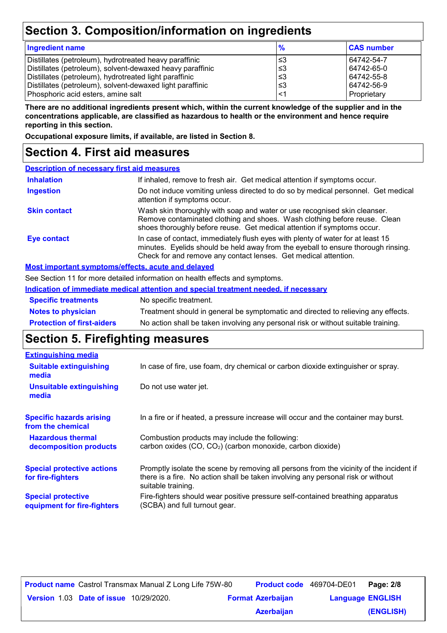# **Section 3. Composition/information on ingredients**

| <b>Ingredient name</b>                                                                                                                                                                                                                                                           | $\frac{9}{6}$                     | <b>CAS number</b>                                                   |
|----------------------------------------------------------------------------------------------------------------------------------------------------------------------------------------------------------------------------------------------------------------------------------|-----------------------------------|---------------------------------------------------------------------|
| Distillates (petroleum), hydrotreated heavy paraffinic<br>Distillates (petroleum), solvent-dewaxed heavy paraffinic<br>Distillates (petroleum), hydrotreated light paraffinic<br>Distillates (petroleum), solvent-dewaxed light paraffinic<br>Phosphoric acid esters, amine salt | צ≥<br>∖3≥ ا<br>՝≤3<br>∖3≥ ا<br>≤1 | 64742-54-7<br>64742-65-0<br>64742-55-8<br>64742-56-9<br>Proprietary |
|                                                                                                                                                                                                                                                                                  |                                   |                                                                     |

**There are no additional ingredients present which, within the current knowledge of the supplier and in the concentrations applicable, are classified as hazardous to health or the environment and hence require reporting in this section.**

**Occupational exposure limits, if available, are listed in Section 8.**

# **Section 4. First aid measures**

| <b>Description of necessary first aid measures</b> |                                                                                                                                                                                                                                         |
|----------------------------------------------------|-----------------------------------------------------------------------------------------------------------------------------------------------------------------------------------------------------------------------------------------|
| <b>Inhalation</b>                                  | If inhaled, remove to fresh air. Get medical attention if symptoms occur.                                                                                                                                                               |
| <b>Ingestion</b>                                   | Do not induce vomiting unless directed to do so by medical personnel. Get medical<br>attention if symptoms occur.                                                                                                                       |
| <b>Skin contact</b>                                | Wash skin thoroughly with soap and water or use recognised skin cleanser.<br>Remove contaminated clothing and shoes. Wash clothing before reuse. Clean<br>shoes thoroughly before reuse. Get medical attention if symptoms occur.       |
| Eye contact                                        | In case of contact, immediately flush eyes with plenty of water for at least 15<br>minutes. Eyelids should be held away from the eyeball to ensure thorough rinsing.<br>Check for and remove any contact lenses. Get medical attention. |

#### **Most important symptoms/effects, acute and delayed**

See Section 11 for more detailed information on health effects and symptoms.

|                                   | Indication of immediate medical attention and special treatment needed, if necessary |
|-----------------------------------|--------------------------------------------------------------------------------------|
| <b>Specific treatments</b>        | No specific treatment.                                                               |
| <b>Notes to physician</b>         | Treatment should in general be symptomatic and directed to relieving any effects.    |
| <b>Protection of first-aiders</b> | No action shall be taken involving any personal risk or without suitable training.   |

### **Section 5. Firefighting measures**

| In case of fire, use foam, dry chemical or carbon dioxide extinguisher or spray.                                                                                                                  |
|---------------------------------------------------------------------------------------------------------------------------------------------------------------------------------------------------|
| Do not use water jet.                                                                                                                                                                             |
| In a fire or if heated, a pressure increase will occur and the container may burst.                                                                                                               |
| Combustion products may include the following:<br>carbon oxides (CO, CO <sub>2</sub> ) (carbon monoxide, carbon dioxide)                                                                          |
| Promptly isolate the scene by removing all persons from the vicinity of the incident if<br>there is a fire. No action shall be taken involving any personal risk or without<br>suitable training. |
| Fire-fighters should wear positive pressure self-contained breathing apparatus<br>(SCBA) and full turnout gear.                                                                                   |
|                                                                                                                                                                                                   |

|                                               | <b>Product name</b> Castrol Transmax Manual Z Long Life 75W-80 | Product code 469704-DE01 |                         | Page: 2/8 |
|-----------------------------------------------|----------------------------------------------------------------|--------------------------|-------------------------|-----------|
| <b>Version 1.03 Date of issue 10/29/2020.</b> |                                                                | <b>Format Azerbaijan</b> | <b>Language ENGLISH</b> |           |
|                                               |                                                                | <b>Azerbaijan</b>        |                         | (ENGLISH) |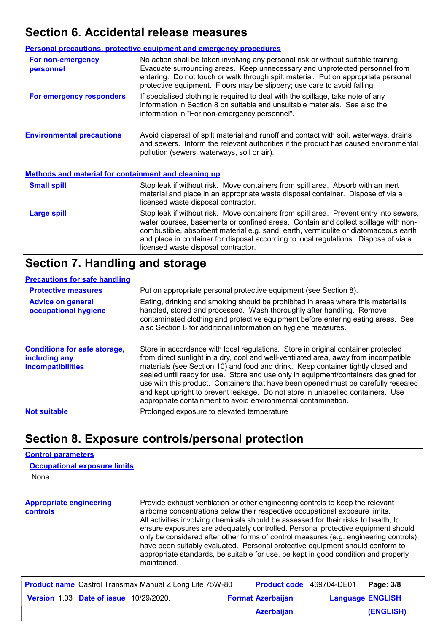# **Section 6. Accidental release measures**

|                                                             | <b>Personal precautions, protective equipment and emergency procedures</b>                                                                                                                                                                                                                                                                                                                         |  |  |  |
|-------------------------------------------------------------|----------------------------------------------------------------------------------------------------------------------------------------------------------------------------------------------------------------------------------------------------------------------------------------------------------------------------------------------------------------------------------------------------|--|--|--|
| For non-emergency<br>personnel                              | No action shall be taken involving any personal risk or without suitable training.<br>Evacuate surrounding areas. Keep unnecessary and unprotected personnel from<br>entering. Do not touch or walk through spilt material. Put on appropriate personal<br>protective equipment. Floors may be slippery; use care to avoid falling.                                                                |  |  |  |
| For emergency responders                                    | If specialised clothing is required to deal with the spillage, take note of any<br>information in Section 8 on suitable and unsuitable materials. See also the<br>information in "For non-emergency personnel".                                                                                                                                                                                    |  |  |  |
| <b>Environmental precautions</b>                            | Avoid dispersal of spilt material and runoff and contact with soil, waterways, drains<br>and sewers. Inform the relevant authorities if the product has caused environmental<br>pollution (sewers, waterways, soil or air).                                                                                                                                                                        |  |  |  |
| <b>Methods and material for containment and cleaning up</b> |                                                                                                                                                                                                                                                                                                                                                                                                    |  |  |  |
| <b>Small spill</b>                                          | Stop leak if without risk. Move containers from spill area. Absorb with an inert<br>material and place in an appropriate waste disposal container. Dispose of via a<br>licensed waste disposal contractor.                                                                                                                                                                                         |  |  |  |
| <b>Large spill</b>                                          | Stop leak if without risk. Move containers from spill area. Prevent entry into sewers,<br>water courses, basements or confined areas. Contain and collect spillage with non-<br>combustible, absorbent material e.g. sand, earth, vermiculite or diatomaceous earth<br>and place in container for disposal according to local regulations. Dispose of via a<br>licensed waste disposal contractor. |  |  |  |

### **Section 7. Handling and storage**

#### **Precautions for safe handling**

| <b>Protective measures</b>                                                | Put on appropriate personal protective equipment (see Section 8).                                                                                                                                                                                                                                                                                                                                                                                                                                                                                                                              |
|---------------------------------------------------------------------------|------------------------------------------------------------------------------------------------------------------------------------------------------------------------------------------------------------------------------------------------------------------------------------------------------------------------------------------------------------------------------------------------------------------------------------------------------------------------------------------------------------------------------------------------------------------------------------------------|
| <b>Advice on general</b><br>occupational hygiene                          | Eating, drinking and smoking should be prohibited in areas where this material is<br>handled, stored and processed. Wash thoroughly after handling. Remove<br>contaminated clothing and protective equipment before entering eating areas. See<br>also Section 8 for additional information on hygiene measures.                                                                                                                                                                                                                                                                               |
| <b>Conditions for safe storage,</b><br>including any<br>incompatibilities | Store in accordance with local regulations. Store in original container protected<br>from direct sunlight in a dry, cool and well-ventilated area, away from incompatible<br>materials (see Section 10) and food and drink. Keep container tightly closed and<br>sealed until ready for use. Store and use only in equipment/containers designed for<br>use with this product. Containers that have been opened must be carefully resealed<br>and kept upright to prevent leakage. Do not store in unlabelled containers. Use<br>appropriate containment to avoid environmental contamination. |
| <b>Not suitable</b>                                                       | Prolonged exposure to elevated temperature                                                                                                                                                                                                                                                                                                                                                                                                                                                                                                                                                     |

### **Section 8. Exposure controls/personal protection**

#### **Control parameters**

None. **Occupational exposure limits**

**Appropriate engineering controls** Provide exhaust ventilation or other engineering controls to keep the relevant airborne concentrations below their respective occupational exposure limits. All activities involving chemicals should be assessed for their risks to health, to ensure exposures are adequately controlled. Personal protective equipment should only be considered after other forms of control measures (e.g. engineering controls) have been suitably evaluated. Personal protective equipment should conform to appropriate standards, be suitable for use, be kept in good condition and properly maintained.

|                                               | <b>Product name</b> Castrol Transmax Manual Z Long Life 75W-80 | <b>Product code</b> 469704-DE01 |                         | Page: 3/8 |
|-----------------------------------------------|----------------------------------------------------------------|---------------------------------|-------------------------|-----------|
| <b>Version 1.03 Date of issue 10/29/2020.</b> |                                                                | <b>Format Azerbaijan</b>        | <b>Language ENGLISH</b> |           |
|                                               |                                                                | <b>Azerbaijan</b>               |                         | (ENGLISH) |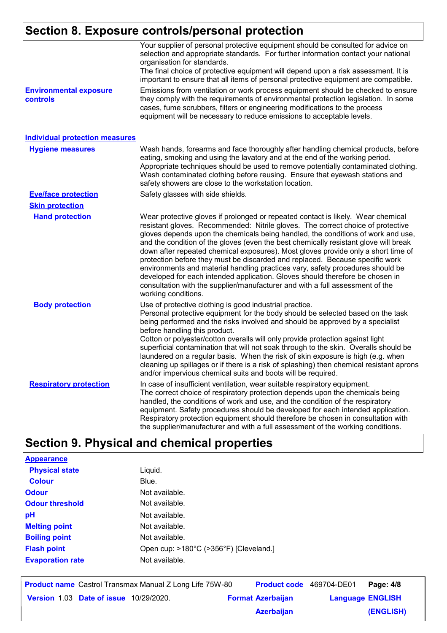# **Section 8. Exposure controls/personal protection**

|                                           | Your supplier of personal protective equipment should be consulted for advice on<br>selection and appropriate standards. For further information contact your national<br>organisation for standards.<br>The final choice of protective equipment will depend upon a risk assessment. It is<br>important to ensure that all items of personal protective equipment are compatible.                                                                                                                                                                                                                                                                                                                                                                                                              |
|-------------------------------------------|-------------------------------------------------------------------------------------------------------------------------------------------------------------------------------------------------------------------------------------------------------------------------------------------------------------------------------------------------------------------------------------------------------------------------------------------------------------------------------------------------------------------------------------------------------------------------------------------------------------------------------------------------------------------------------------------------------------------------------------------------------------------------------------------------|
| <b>Environmental exposure</b><br>controls | Emissions from ventilation or work process equipment should be checked to ensure<br>they comply with the requirements of environmental protection legislation. In some<br>cases, fume scrubbers, filters or engineering modifications to the process<br>equipment will be necessary to reduce emissions to acceptable levels.                                                                                                                                                                                                                                                                                                                                                                                                                                                                   |
| <b>Individual protection measures</b>     |                                                                                                                                                                                                                                                                                                                                                                                                                                                                                                                                                                                                                                                                                                                                                                                                 |
| <b>Hygiene measures</b>                   | Wash hands, forearms and face thoroughly after handling chemical products, before<br>eating, smoking and using the lavatory and at the end of the working period.<br>Appropriate techniques should be used to remove potentially contaminated clothing.<br>Wash contaminated clothing before reusing. Ensure that eyewash stations and<br>safety showers are close to the workstation location.                                                                                                                                                                                                                                                                                                                                                                                                 |
| <b>Eye/face protection</b>                | Safety glasses with side shields.                                                                                                                                                                                                                                                                                                                                                                                                                                                                                                                                                                                                                                                                                                                                                               |
| <b>Skin protection</b>                    |                                                                                                                                                                                                                                                                                                                                                                                                                                                                                                                                                                                                                                                                                                                                                                                                 |
| <b>Hand protection</b>                    | Wear protective gloves if prolonged or repeated contact is likely. Wear chemical<br>resistant gloves. Recommended: Nitrile gloves. The correct choice of protective<br>gloves depends upon the chemicals being handled, the conditions of work and use,<br>and the condition of the gloves (even the best chemically resistant glove will break<br>down after repeated chemical exposures). Most gloves provide only a short time of<br>protection before they must be discarded and replaced. Because specific work<br>environments and material handling practices vary, safety procedures should be<br>developed for each intended application. Gloves should therefore be chosen in<br>consultation with the supplier/manufacturer and with a full assessment of the<br>working conditions. |
| <b>Body protection</b>                    | Use of protective clothing is good industrial practice.<br>Personal protective equipment for the body should be selected based on the task<br>being performed and the risks involved and should be approved by a specialist<br>before handling this product.<br>Cotton or polyester/cotton overalls will only provide protection against light<br>superficial contamination that will not soak through to the skin. Overalls should be<br>laundered on a regular basis. When the risk of skin exposure is high (e.g. when<br>cleaning up spillages or if there is a risk of splashing) then chemical resistant aprons<br>and/or impervious chemical suits and boots will be required.                                                                                                           |
| <b>Respiratory protection</b>             | In case of insufficient ventilation, wear suitable respiratory equipment.<br>The correct choice of respiratory protection depends upon the chemicals being<br>handled, the conditions of work and use, and the condition of the respiratory<br>equipment. Safety procedures should be developed for each intended application.<br>Respiratory protection equipment should therefore be chosen in consultation with<br>the supplier/manufacturer and with a full assessment of the working conditions.                                                                                                                                                                                                                                                                                           |

# **Section 9. Physical and chemical properties**

| <b>Appearance</b>       |                                        |
|-------------------------|----------------------------------------|
| <b>Physical state</b>   | Liquid.                                |
| <b>Colour</b>           | Blue.                                  |
| <b>Odour</b>            | Not available.                         |
| <b>Odour threshold</b>  | Not available.                         |
| рH                      | Not available.                         |
| <b>Melting point</b>    | Not available.                         |
| <b>Boiling point</b>    | Not available.                         |
| <b>Flash point</b>      | Open cup: >180°C (>356°F) [Cleveland.] |
| <b>Evaporation rate</b> | Not available.                         |
|                         |                                        |

|                                               | <b>Product name</b> Castrol Transmax Manual Z Long Life 75W-80 |                          | <b>Product code</b> 469704-DE01 | Page: 4/8 |
|-----------------------------------------------|----------------------------------------------------------------|--------------------------|---------------------------------|-----------|
| <b>Version 1.03 Date of issue 10/29/2020.</b> |                                                                | <b>Format Azerbaijan</b> | <b>Language ENGLISH</b>         |           |
|                                               |                                                                | <b>Azerbaijan</b>        |                                 | (ENGLISH) |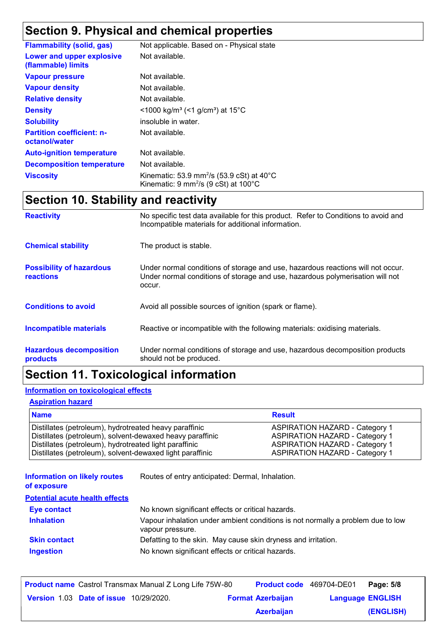# **Section 9. Physical and chemical properties**

| <b>Flammability (solid, gas)</b>                  | Not applicable. Based on - Physical state                                                                                                       |
|---------------------------------------------------|-------------------------------------------------------------------------------------------------------------------------------------------------|
| Lower and upper explosive<br>(flammable) limits   | Not available.                                                                                                                                  |
| <b>Vapour pressure</b>                            | Not available.                                                                                                                                  |
| <b>Vapour density</b>                             | Not available.                                                                                                                                  |
| <b>Relative density</b>                           | Not available.                                                                                                                                  |
| <b>Density</b>                                    | $\leq$ 1000 kg/m <sup>3</sup> (<1 g/cm <sup>3</sup> ) at 15 <sup>°</sup> C                                                                      |
| <b>Solubility</b>                                 | insoluble in water.                                                                                                                             |
| <b>Partition coefficient: n-</b><br>octanol/water | Not available.                                                                                                                                  |
| <b>Auto-ignition temperature</b>                  | Not available.                                                                                                                                  |
| <b>Decomposition temperature</b>                  | Not available.                                                                                                                                  |
| <b>Viscosity</b>                                  | Kinematic: 53.9 mm <sup>2</sup> /s (53.9 cSt) at $40^{\circ}$ C<br>Kinematic: $9 \text{ mm}^2$ /s ( $9 \text{ cSt}$ ) at $100^{\circ} \text{C}$ |

# **Section 10. Stability and reactivity**

| <b>Reactivity</b>                            | No specific test data available for this product. Refer to Conditions to avoid and<br>Incompatible materials for additional information.                                   |
|----------------------------------------------|----------------------------------------------------------------------------------------------------------------------------------------------------------------------------|
| <b>Chemical stability</b>                    | The product is stable.                                                                                                                                                     |
| <b>Possibility of hazardous</b><br>reactions | Under normal conditions of storage and use, hazardous reactions will not occur.<br>Under normal conditions of storage and use, hazardous polymerisation will not<br>occur. |
| <b>Conditions to avoid</b>                   | Avoid all possible sources of ignition (spark or flame).                                                                                                                   |
| <b>Incompatible materials</b>                | Reactive or incompatible with the following materials: oxidising materials.                                                                                                |
| <b>Hazardous decomposition</b><br>products   | Under normal conditions of storage and use, hazardous decomposition products<br>should not be produced.                                                                    |

# **Section 11. Toxicological information**

#### **Information on toxicological effects**

#### **Aspiration hazard**

| <b>Name</b>                                               | <b>Result</b>                         |
|-----------------------------------------------------------|---------------------------------------|
| Distillates (petroleum), hydrotreated heavy paraffinic    | <b>ASPIRATION HAZARD - Category 1</b> |
| Distillates (petroleum), solvent-dewaxed heavy paraffinic | <b>ASPIRATION HAZARD - Category 1</b> |
| Distillates (petroleum), hydrotreated light paraffinic    | <b>ASPIRATION HAZARD - Category 1</b> |
| Distillates (petroleum), solvent-dewaxed light paraffinic | <b>ASPIRATION HAZARD - Category 1</b> |

**Information on likely routes**  Routes of entry anticipated: Dermal, Inhalation.

#### **of exposure**

| <b>Potential acute health effects</b> |                                                                                                     |
|---------------------------------------|-----------------------------------------------------------------------------------------------------|
| Eye contact                           | No known significant effects or critical hazards.                                                   |
| <b>Inhalation</b>                     | Vapour inhalation under ambient conditions is not normally a problem due to low<br>vapour pressure. |
| <b>Skin contact</b>                   | Defatting to the skin. May cause skin dryness and irritation.                                       |
| <b>Ingestion</b>                      | No known significant effects or critical hazards.                                                   |

|  |                                               | <b>Product name</b> Castrol Transmax Manual Z Long Life 75W-80 | <b>Product code</b> 469704-DE01 |                         | Page: 5/8 |
|--|-----------------------------------------------|----------------------------------------------------------------|---------------------------------|-------------------------|-----------|
|  | <b>Version 1.03 Date of issue 10/29/2020.</b> |                                                                | <b>Format Azerbaijan</b>        | <b>Language ENGLISH</b> |           |
|  |                                               |                                                                | <b>Azerbaijan</b>               |                         | (ENGLISH) |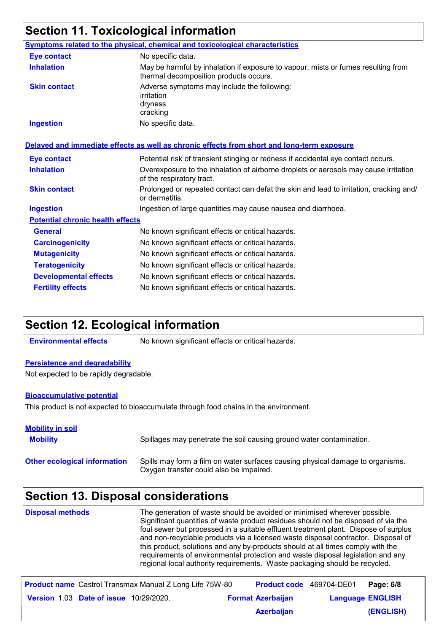# **Section 11. Toxicological information**

|                                         | Symptoms related to the physical, chemical and toxicological characteristics                                                |
|-----------------------------------------|-----------------------------------------------------------------------------------------------------------------------------|
| <b>Eye contact</b>                      | No specific data.                                                                                                           |
| <b>Inhalation</b>                       | May be harmful by inhalation if exposure to vapour, mists or fumes resulting from<br>thermal decomposition products occurs. |
| <b>Skin contact</b>                     | Adverse symptoms may include the following:<br>irritation<br>dryness<br>cracking                                            |
| <b>Ingestion</b>                        | No specific data.                                                                                                           |
|                                         | Delayed and immediate effects as well as chronic effects from short and long-term exposure                                  |
| <b>Eye contact</b>                      | Potential risk of transient stinging or redness if accidental eye contact occurs.                                           |
| <b>Inhalation</b>                       | Overexposure to the inhalation of airborne droplets or aerosols may cause irritation<br>of the respiratory tract.           |
| <b>Skin contact</b>                     | Prolonged or repeated contact can defat the skin and lead to irritation, cracking and/<br>or dermatitis.                    |
| <b>Ingestion</b>                        | Ingestion of large quantities may cause nausea and diarrhoea.                                                               |
| <b>Potential chronic health effects</b> |                                                                                                                             |
| <b>General</b>                          | No known significant effects or critical hazards.                                                                           |
| <b>Carcinogenicity</b>                  | No known significant effects or critical hazards.                                                                           |
| <b>Mutagenicity</b>                     | No known significant effects or critical hazards.                                                                           |
| <b>Teratogenicity</b>                   | No known significant effects or critical hazards.                                                                           |
| <b>Developmental effects</b>            | No known significant effects or critical hazards.                                                                           |
| <b>Fertility effects</b>                | No known significant effects or critical hazards.                                                                           |

### **Section 12. Ecological information**

**Environmental effects** No known significant effects or critical hazards.

#### **Persistence and degradability**

Not expected to be rapidly degradable.

#### **Bioaccumulative potential**

This product is not expected to bioaccumulate through food chains in the environment.

| <b>Mobility in soil</b><br><b>Mobility</b> | Spillages may penetrate the soil causing ground water contamination.                                                      |
|--------------------------------------------|---------------------------------------------------------------------------------------------------------------------------|
| <b>Other ecological information</b>        | Spills may form a film on water surfaces causing physical damage to organisms.<br>Oxygen transfer could also be impaired. |

# **Section 13. Disposal considerations**

| <b>Disposal methods</b> | The generation of waste should be avoided or minimised wherever possible.<br>Significant quantities of waste product residues should not be disposed of via the<br>foul sewer but processed in a suitable effluent treatment plant. Dispose of surplus<br>and non-recyclable products via a licensed waste disposal contractor. Disposal of<br>this product, solutions and any by-products should at all times comply with the<br>requirements of environmental protection and waste disposal legislation and any<br>regional local authority requirements. Waste packaging should be recycled. |
|-------------------------|-------------------------------------------------------------------------------------------------------------------------------------------------------------------------------------------------------------------------------------------------------------------------------------------------------------------------------------------------------------------------------------------------------------------------------------------------------------------------------------------------------------------------------------------------------------------------------------------------|
|                         |                                                                                                                                                                                                                                                                                                                                                                                                                                                                                                                                                                                                 |

|                                               | <b>Product name</b> Castrol Transmax Manual Z Long Life 75W-80 | Product code 469704-DE01 |                         | Page: 6/8 |
|-----------------------------------------------|----------------------------------------------------------------|--------------------------|-------------------------|-----------|
| <b>Version 1.03 Date of issue 10/29/2020.</b> |                                                                | <b>Format Azerbaijan</b> | <b>Language ENGLISH</b> |           |
|                                               |                                                                | <b>Azerbaijan</b>        |                         | (ENGLISH) |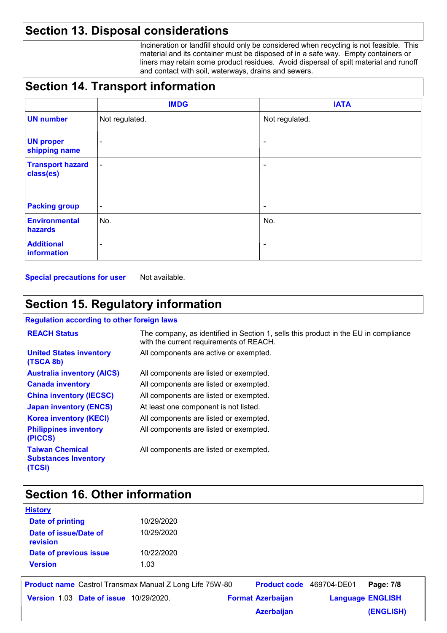# **Section 13. Disposal considerations**

Incineration or landfill should only be considered when recycling is not feasible. This material and its container must be disposed of in a safe way. Empty containers or liners may retain some product residues. Avoid dispersal of spilt material and runoff and contact with soil, waterways, drains and sewers.

# **Section 14. Transport information**

|                                      | <b>IMDG</b>              | <b>IATA</b>              |
|--------------------------------------|--------------------------|--------------------------|
| <b>UN number</b>                     | Not regulated.           | Not regulated.           |
| <b>UN proper</b><br>shipping name    | $\overline{\phantom{a}}$ | $\overline{\phantom{a}}$ |
| <b>Transport hazard</b><br>class(es) | $\blacksquare$           | $\overline{\phantom{a}}$ |
| <b>Packing group</b>                 | $\overline{\phantom{a}}$ | $\overline{\phantom{a}}$ |
| <b>Environmental</b><br>hazards      | No.                      | No.                      |
| <b>Additional</b><br>information     | ٠                        | $\overline{\phantom{a}}$ |

**Special precautions for user** Not available.

# **Section 15. Regulatory information**

#### **Regulation according to other foreign laws**

| <b>REACH Status</b>                                             | The company, as identified in Section 1, sells this product in the EU in compliance<br>with the current requirements of REACH. |
|-----------------------------------------------------------------|--------------------------------------------------------------------------------------------------------------------------------|
| <b>United States inventory</b><br>(TSCA 8b)                     | All components are active or exempted.                                                                                         |
| <b>Australia inventory (AICS)</b>                               | All components are listed or exempted.                                                                                         |
| <b>Canada inventory</b>                                         | All components are listed or exempted.                                                                                         |
| <b>China inventory (IECSC)</b>                                  | All components are listed or exempted.                                                                                         |
| <b>Japan inventory (ENCS)</b>                                   | At least one component is not listed.                                                                                          |
| <b>Korea inventory (KECI)</b>                                   | All components are listed or exempted.                                                                                         |
| <b>Philippines inventory</b><br>(PICCS)                         | All components are listed or exempted.                                                                                         |
| <b>Taiwan Chemical</b><br><b>Substances Inventory</b><br>(TCSI) | All components are listed or exempted.                                                                                         |

# **Section 16. Other information**

| <b>HISLOTY</b>                    |            |  |
|-----------------------------------|------------|--|
| <b>Date of printing</b>           | 10/29/2020 |  |
| Date of issue/Date of<br>revision | 10/29/2020 |  |
| Date of previous issue            | 10/22/2020 |  |
| <b>Version</b>                    | 1.03       |  |
|                                   |            |  |

**History**

|                                               | <b>Product name</b> Castrol Transmax Manual Z Long Life 75W-80 | <b>Product code</b> 469704-DE01 |                         | Page: 7/8 |
|-----------------------------------------------|----------------------------------------------------------------|---------------------------------|-------------------------|-----------|
| <b>Version 1.03 Date of issue 10/29/2020.</b> |                                                                | <b>Format Azerbaijan</b>        | <b>Language ENGLISH</b> |           |
|                                               |                                                                | <b>Azerbaijan</b>               |                         | (ENGLISH) |